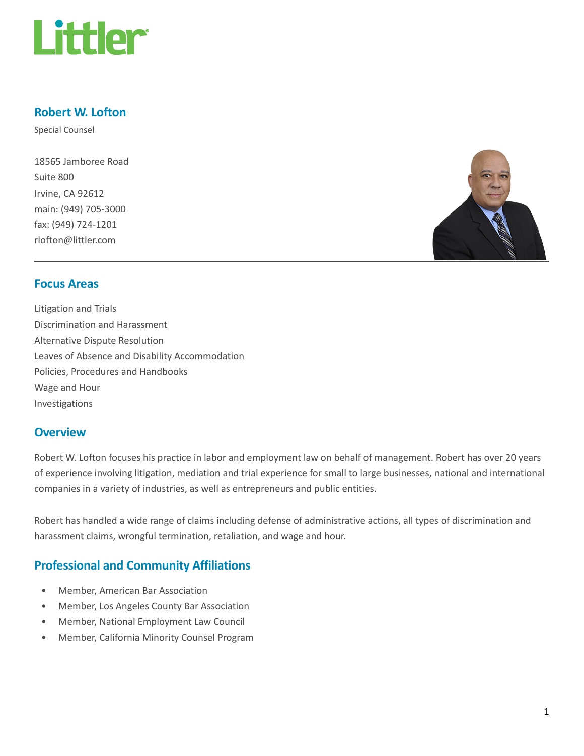

## Robert W. Lofton

Special Counsel

18565 Jamboree Road Suite 800 Irvine, CA 92612 main: (949) 705-3000 fax: (949) 724-1201 rlofton@littler.com



#### Focus Areas

Litigation and Trials Discrimination and Harassment Alternative Dispute Resolution Leaves of Absence and Disability Accommodation Policies, Procedures and Handbooks Wage and Hour Investigations

#### **Overview**

Robert W. Lofton focuses his practice in labor and employment law on behalf of management. Robert has over 20 years of experience involving litigation, mediation and trial experience for small to large businesses, national and international companies in a variety of industries, as well as entrepreneurs and public entities.

Robert has handled a wide range of claims including defense of administrative actions, all types of discrimination and harassment claims, wrongful termination, retaliation, and wage and hour.

## Professional and Community Affiliations

- Member, American Bar Association
- Member, Los Angeles County Bar Association
- Member, National Employment Law Council
- Member, California Minority Counsel Program